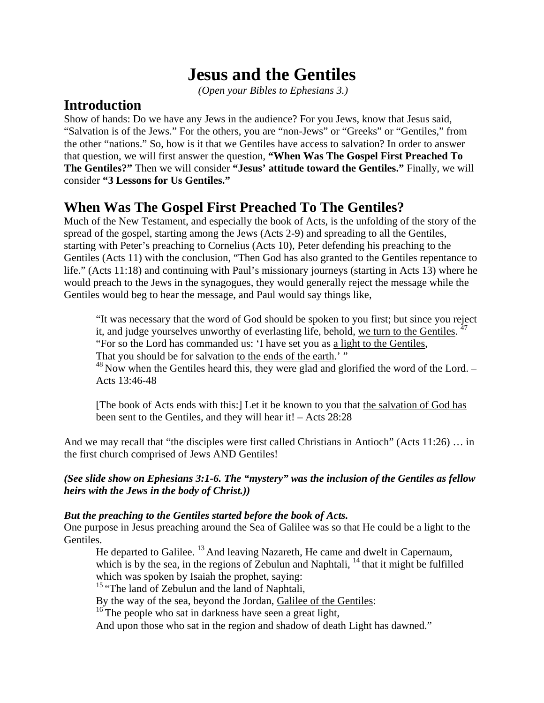# **Jesus and the Gentiles**

 *(Open your Bibles to Ephesians 3.)* 

# **Introduction**

Show of hands: Do we have any Jews in the audience? For you Jews, know that Jesus said, "Salvation is of the Jews." For the others, you are "non-Jews" or "Greeks" or "Gentiles," from the other "nations." So, how is it that we Gentiles have access to salvation? In order to answer that question, we will first answer the question, **"When Was The Gospel First Preached To The Gentiles?"** Then we will consider **"Jesus' attitude toward the Gentiles."** Finally, we will consider **"3 Lessons for Us Gentiles."**

# **When Was The Gospel First Preached To The Gentiles?**

Much of the New Testament, and especially the book of Acts, is the unfolding of the story of the spread of the gospel, starting among the Jews (Acts 2-9) and spreading to all the Gentiles, starting with Peter's preaching to Cornelius (Acts 10), Peter defending his preaching to the Gentiles (Acts 11) with the conclusion, "Then God has also granted to the Gentiles repentance to life." (Acts 11:18) and continuing with Paul's missionary journeys (starting in Acts 13) where he would preach to the Jews in the synagogues, they would generally reject the message while the Gentiles would beg to hear the message, and Paul would say things like,

"It was necessary that the word of God should be spoken to you first; but since you reject it, and judge yourselves unworthy of everlasting life, behold, we turn to the Gentiles. <sup>47</sup> "For so the Lord has commanded us: 'I have set you as a light to the Gentiles, That you should be for salvation to the ends of the earth.' "

 $^{48}$  Now when the Gentiles heard this, they were glad and glorified the word of the Lord. – Acts 13:46-48

[The book of Acts ends with this:] Let it be known to you that the salvation of God has been sent to the Gentiles, and they will hear it! – Acts 28:28

And we may recall that "the disciples were first called Christians in Antioch" (Acts 11:26) … in the first church comprised of Jews AND Gentiles!

*(See slide show on Ephesians 3:1-6. The "mystery" was the inclusion of the Gentiles as fellow heirs with the Jews in the body of Christ.))* 

# *But the preaching to the Gentiles started before the book of Acts.*

One purpose in Jesus preaching around the Sea of Galilee was so that He could be a light to the Gentiles.

He departed to Galilee. <sup>13</sup> And leaving Nazareth, He came and dwelt in Capernaum, which is by the sea, in the regions of Zebulun and Naphtali,  $^{14}$  that it might be fulfilled which was spoken by Isaiah the prophet, saying:

<sup>15</sup> "The land of Zebulun and the land of Naphtali,

By the way of the sea, beyond the Jordan, Galilee of the Gentiles:

<sup>16</sup> The people who sat in darkness have seen a great light,

And upon those who sat in the region and shadow of death Light has dawned."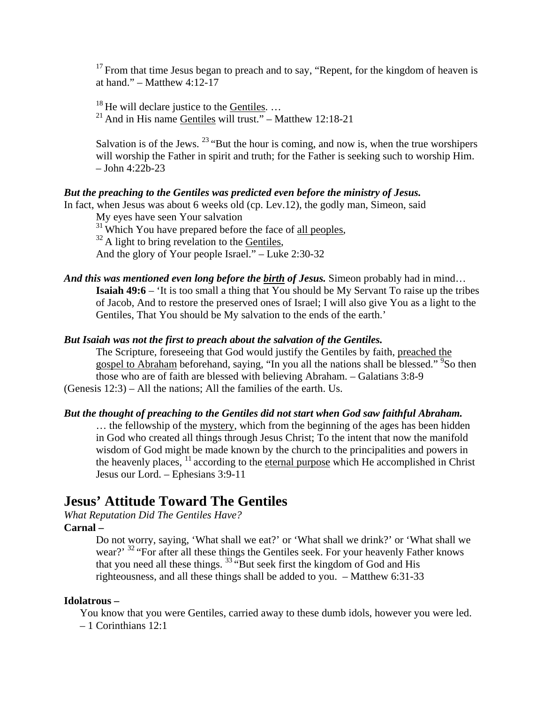$17$  From that time Jesus began to preach and to say, "Repent, for the kingdom of heaven is at hand."  $-$  Matthew 4:12-17

<sup>18</sup> He will declare justice to the <u>Gentiles</u>. ...<br><sup>21</sup> And in His name Gentiles will trust." – Matthew 12:18-21

Salvation is of the Jews.  $23$  "But the hour is coming, and now is, when the true worshipers will worship the Father in spirit and truth; for the Father is seeking such to worship Him. – John 4:22b-23

## *But the preaching to the Gentiles was predicted even before the ministry of Jesus.*

In fact, when Jesus was about 6 weeks old (cp. Lev.12), the godly man, Simeon, said

My eyes have seen Your salvation

 $31$  Which You have prepared before the face of <u>all peoples</u>,  $32$  A light to bring revelation to the Gentiles,

And the glory of Your people Israel." – Luke 2:30-32

And this was mentioned even long before the **birth of Jesus.** Simeon probably had in mind... **Isaiah 49:6** – 'It is too small a thing that You should be My Servant To raise up the tribes of Jacob, And to restore the preserved ones of Israel; I will also give You as a light to the Gentiles, That You should be My salvation to the ends of the earth.'

#### *But Isaiah was not the first to preach about the salvation of the Gentiles.*

The Scripture, foreseeing that God would justify the Gentiles by faith, preached the gospel to Abraham beforehand, saying, "In you all the nations shall be blessed." <sup>9</sup>So then those who are of faith are blessed with believing Abraham. – Galatians 3:8-9 (Genesis 12:3) – All the nations; All the families of the earth. Us.

#### *But the thought of preaching to the Gentiles did not start when God saw faithful Abraham.*

… the fellowship of the mystery, which from the beginning of the ages has been hidden in God who created all things through Jesus Christ; To the intent that now the manifold wisdom of God might be made known by the church to the principalities and powers in the heavenly places,  $\frac{11}{11}$  according to the eternal purpose which He accomplished in Christ Jesus our Lord. – Ephesians 3:9-11

# **Jesus' Attitude Toward The Gentiles**

*What Reputation Did The Gentiles Have?* 

## **Carnal –**

Do not worry, saying, 'What shall we eat?' or 'What shall we drink?' or 'What shall we wear?' <sup>32</sup> "For after all these things the Gentiles seek. For your heavenly Father knows that you need all these things.  $33\frac{1}{10}$  But seek first the kingdom of God and His righteousness, and all these things shall be added to you. – Matthew 6:31-33

#### **Idolatrous –**

You know that you were Gentiles, carried away to these dumb idols, however you were led. – 1 Corinthians 12:1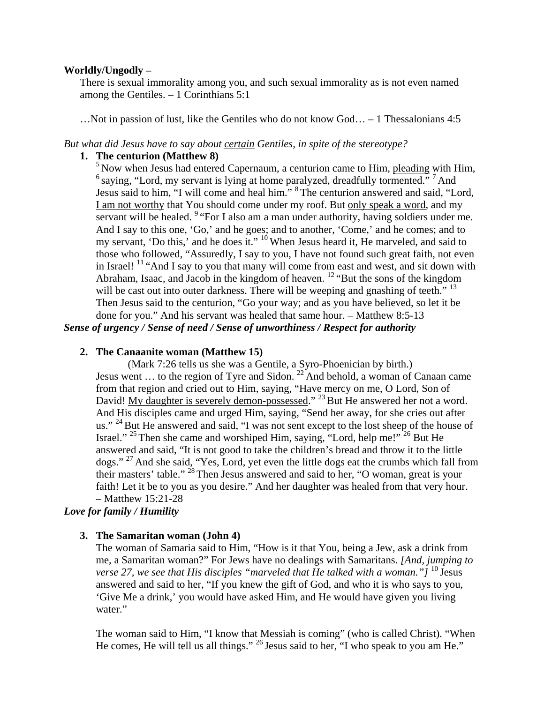#### **Worldly/Ungodly –**

There is sexual immorality among you, and such sexual immorality as is not even named among the Gentiles. – 1 Corinthians 5:1

…Not in passion of lust, like the Gentiles who do not know God… – 1 Thessalonians 4:5

#### *But what did Jesus have to say about certain Gentiles, in spite of the stereotype?*

### **1. The centurion (Matthew 8)**

 $<sup>5</sup>$  Now when Jesus had entered Capernaum, a centurion came to Him, pleading with Him,</sup>  $^6$  saying, "Lord, my servant is lying at home paralyzed, dreadfully tormented."  $^7$  And Jesus said to him, "I will come and heal him." 8 The centurion answered and said, "Lord, I am not worthy that You should come under my roof. But only speak a word, and my servant will be healed. <sup>9</sup> "For I also am a man under authority, having soldiers under me. And I say to this one, 'Go,' and he goes; and to another, 'Come,' and he comes; and to my servant, 'Do this,' and he does it."  $10$  When Jesus heard it, He marveled, and said to those who followed, "Assuredly, I say to you, I have not found such great faith, not even in Israel!  $11 \text{``And I say to you that many will come from east and west, and sit down with}$ Abraham, Isaac, and Jacob in the kingdom of heaven. 12 "But the sons of the kingdom will be cast out into outer darkness. There will be weeping and gnashing of teeth."  $13$ Then Jesus said to the centurion, "Go your way; and as you have believed, so let it be done for you." And his servant was healed that same hour. – Matthew 8:5-13 *Sense of urgency / Sense of need / Sense of unworthiness / Respect for authority* 

# **2. The Canaanite woman (Matthew 15)**

(Mark 7:26 tells us she was a Gentile, a Syro-Phoenician by birth.) Jesus went ... to the region of Tyre and Sidon.  $^{22}$  And behold, a woman of Canaan came from that region and cried out to Him, saying, "Have mercy on me, O Lord, Son of David! My daughter is severely demon-possessed." <sup>23</sup> But He answered her not a word. And His disciples came and urged Him, saying, "Send her away, for she cries out after us." <sup>24</sup> But He answered and said, "I was not sent except to the lost sheep of the house of Israel." <sup>25</sup> Then she came and worshiped Him, saying, "Lord, help me!" <sup>26</sup> But He answered and said, "It is not good to take the children's bread and throw it to the little dogs." <sup>27</sup> And she said, "Yes, Lord, yet even the little dogs eat the crumbs which fall from their masters' table."<sup>28</sup> Then Jesus answered and said to her, "O woman, great is your faith! Let it be to you as you desire." And her daughter was healed from that very hour. – Matthew 15:21-28

### *Love for family / Humility*

#### **3. The Samaritan woman (John 4)**

The woman of Samaria said to Him, "How is it that You, being a Jew, ask a drink from me, a Samaritan woman?" For Jews have no dealings with Samaritans. *[And, jumping to verse 27, we see that His disciples "marveled that He talked with a woman."*  $\int_0^{10}$  Jesus answered and said to her, "If you knew the gift of God, and who it is who says to you, 'Give Me a drink,' you would have asked Him, and He would have given you living water."

The woman said to Him, "I know that Messiah is coming" (who is called Christ). "When He comes, He will tell us all things." <sup>26</sup> Jesus said to her, "I who speak to you am He."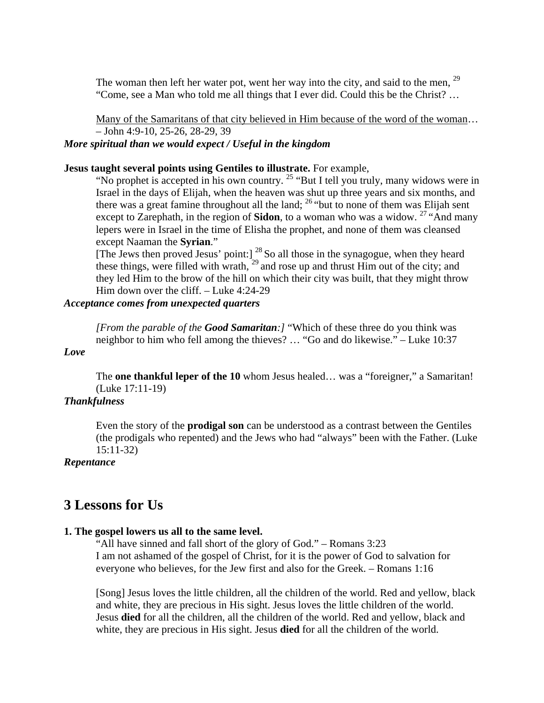The woman then left her water pot, went her way into the city, and said to the men,  $29$ "Come, see a Man who told me all things that I ever did. Could this be the Christ? …

Many of the Samaritans of that city believed in Him because of the word of the woman… – John 4:9-10, 25-26, 28-29, 39

# *More spiritual than we would expect / Useful in the kingdom*

### **Jesus taught several points using Gentiles to illustrate.** For example,

"No prophet is accepted in his own country.<sup>25</sup> "But I tell you truly, many widows were in Israel in the days of Elijah, when the heaven was shut up three years and six months, and there was a great famine throughout all the land; <sup>26</sup> "but to none of them was Elijah sent except to Zarephath, in the region of **Sidon**, to a woman who was a widow.<sup>27</sup> "And many" lepers were in Israel in the time of Elisha the prophet, and none of them was cleansed except Naaman the **Syrian**."

[The Jews then proved Jesus' point:] <sup>28</sup> So all those in the synagogue, when they heard these things, were filled with wrath,  $29$  and rose up and thrust Him out of the city; and they led Him to the brow of the hill on which their city was built, that they might throw Him down over the cliff. – Luke 4:24-29

#### *Acceptance comes from unexpected quarters*

*[From the parable of the Good Samaritan:]* "Which of these three do you think was neighbor to him who fell among the thieves? … "Go and do likewise." – Luke 10:37

#### *Love*

The **one thankful leper of the 10** whom Jesus healed… was a "foreigner," a Samaritan! (Luke 17:11-19)

#### *Thankfulness*

Even the story of the **prodigal son** can be understood as a contrast between the Gentiles (the prodigals who repented) and the Jews who had "always" been with the Father. (Luke 15:11-32)

#### *Repentance*

# **3 Lessons for Us**

#### **1. The gospel lowers us all to the same level.**

"All have sinned and fall short of the glory of God." – Romans 3:23 I am not ashamed of the gospel of Christ, for it is the power of God to salvation for everyone who believes, for the Jew first and also for the Greek. – Romans 1:16

[Song] Jesus loves the little children, all the children of the world. Red and yellow, black and white, they are precious in His sight. Jesus loves the little children of the world. Jesus **died** for all the children, all the children of the world. Red and yellow, black and white, they are precious in His sight. Jesus **died** for all the children of the world.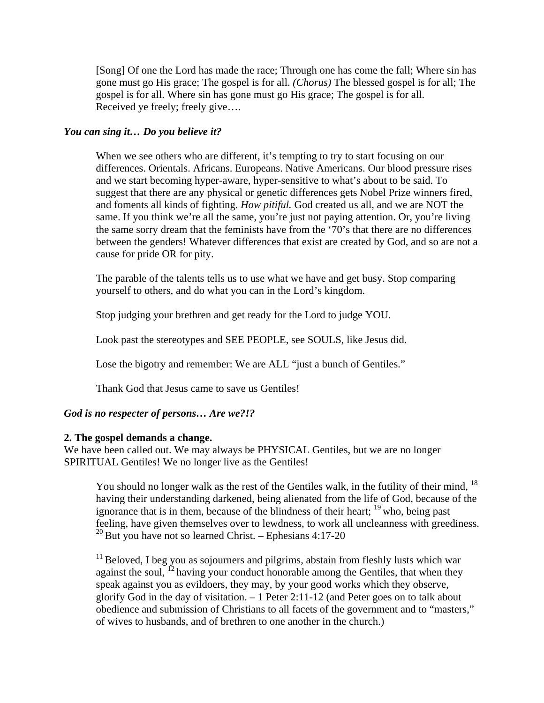[Song] Of one the Lord has made the race; Through one has come the fall; Where sin has gone must go His grace; The gospel is for all. *(Chorus)* The blessed gospel is for all; The gospel is for all. Where sin has gone must go His grace; The gospel is for all. Received ye freely; freely give….

#### *You can sing it… Do you believe it?*

When we see others who are different, it's tempting to try to start focusing on our differences. Orientals. Africans. Europeans. Native Americans. Our blood pressure rises and we start becoming hyper-aware, hyper-sensitive to what's about to be said. To suggest that there are any physical or genetic differences gets Nobel Prize winners fired, and foments all kinds of fighting. *How pitiful.* God created us all, and we are NOT the same. If you think we're all the same, you're just not paying attention. Or, you're living the same sorry dream that the feminists have from the '70's that there are no differences between the genders! Whatever differences that exist are created by God, and so are not a cause for pride OR for pity.

The parable of the talents tells us to use what we have and get busy. Stop comparing yourself to others, and do what you can in the Lord's kingdom.

Stop judging your brethren and get ready for the Lord to judge YOU.

Look past the stereotypes and SEE PEOPLE, see SOULS, like Jesus did.

Lose the bigotry and remember: We are ALL "just a bunch of Gentiles."

Thank God that Jesus came to save us Gentiles!

### *God is no respecter of persons… Are we?!?*

#### **2. The gospel demands a change.**

We have been called out. We may always be PHYSICAL Gentiles, but we are no longer SPIRITUAL Gentiles! We no longer live as the Gentiles!

You should no longer walk as the rest of the Gentiles walk, in the futility of their mind, <sup>18</sup> having their understanding darkened, being alienated from the life of God, because of the ignorance that is in them, because of the blindness of their heart;  $19$  who, being past feeling, have given themselves over to lewdness, to work all uncleanness with greediness.  $20$  But you have not so learned Christ. – Ephesians 4:17-20

 $<sup>11</sup>$  Beloved, I beg you as sojourners and pilgrims, abstain from fleshly lusts which war</sup> against the soul, <sup>12</sup> having your conduct honorable among the Gentiles, that when they speak against you as evildoers, they may, by your good works which they observe, glorify God in the day of visitation. – 1 Peter 2:11-12 (and Peter goes on to talk about obedience and submission of Christians to all facets of the government and to "masters," of wives to husbands, and of brethren to one another in the church.)